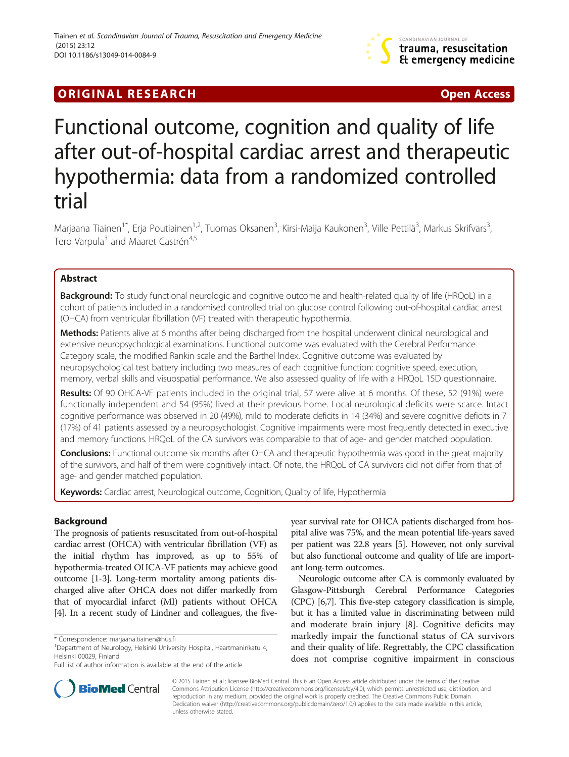

# **ORIGINAL RESEARCH CHARGE ACCESS**

# Functional outcome, cognition and quality of life after out-of-hospital cardiac arrest and therapeutic hypothermia: data from a randomized controlled trial

Marjaana Tiainen<sup>1\*</sup>, Erja Poutiainen<sup>1,2</sup>, Tuomas Oksanen<sup>3</sup>, Kirsi-Maija Kaukonen<sup>3</sup>, Ville Pettilä<sup>3</sup>, Markus Skrifvars<sup>3</sup> , Tero Varpula<sup>3</sup> and Maaret Castrén<sup>4,5</sup>

# Abstract

Background: To study functional neurologic and cognitive outcome and health-related quality of life (HRQoL) in a cohort of patients included in a randomised controlled trial on glucose control following out-of-hospital cardiac arrest (OHCA) from ventricular fibrillation (VF) treated with therapeutic hypothermia.

Methods: Patients alive at 6 months after being discharged from the hospital underwent clinical neurological and extensive neuropsychological examinations. Functional outcome was evaluated with the Cerebral Performance Category scale, the modified Rankin scale and the Barthel Index. Cognitive outcome was evaluated by neuropsychological test battery including two measures of each cognitive function: cognitive speed, execution, memory, verbal skills and visuospatial performance. We also assessed quality of life with a HRQoL 15D questionnaire.

Results: Of 90 OHCA-VF patients included in the original trial, 57 were alive at 6 months. Of these, 52 (91%) were functionally independent and 54 (95%) lived at their previous home. Focal neurological deficits were scarce. Intact cognitive performance was observed in 20 (49%), mild to moderate deficits in 14 (34%) and severe cognitive deficits in 7 (17%) of 41 patients assessed by a neuropsychologist. Cognitive impairments were most frequently detected in executive and memory functions. HRQoL of the CA survivors was comparable to that of age- and gender matched population.

Conclusions: Functional outcome six months after OHCA and therapeutic hypothermia was good in the great majority of the survivors, and half of them were cognitively intact. Of note, the HRQoL of CA survivors did not differ from that of age- and gender matched population.

Keywords: Cardiac arrest, Neurological outcome, Cognition, Quality of life, Hypothermia

# Background

The prognosis of patients resuscitated from out-of-hospital cardiac arrest (OHCA) with ventricular fibrillation (VF) as the initial rhythm has improved, as up to 55% of hypothermia-treated OHCA-VF patients may achieve good outcome [\[1-3\]](#page-6-0). Long-term mortality among patients discharged alive after OHCA does not differ markedly from that of myocardial infarct (MI) patients without OHCA [[4](#page-6-0)]. In a recent study of Lindner and colleagues, the fiveyear survival rate for OHCA patients discharged from hospital alive was 75%, and the mean potential life-years saved per patient was 22.8 years [[5\]](#page-6-0). However, not only survival but also functional outcome and quality of life are important long-term outcomes.

Neurologic outcome after CA is commonly evaluated by Glasgow-Pittsburgh Cerebral Performance Categories (CPC) [[6,7\]](#page-6-0). This five-step category classification is simple, but it has a limited value in discriminating between mild and moderate brain injury [\[8](#page-6-0)]. Cognitive deficits may markedly impair the functional status of CA survivors and their quality of life. Regrettably, the CPC classification does not comprise cognitive impairment in conscious



© 2015 Tiainen et al.; licensee BioMed Central. This is an Open Access article distributed under the terms of the Creative Commons Attribution License [\(http://creativecommons.org/licenses/by/4.0\)](http://creativecommons.org/licenses/by/4.0), which permits unrestricted use, distribution, and reproduction in any medium, provided the original work is properly credited. The Creative Commons Public Domain Dedication waiver [\(http://creativecommons.org/publicdomain/zero/1.0/](http://creativecommons.org/publicdomain/zero/1.0/)) applies to the data made available in this article, unless otherwise stated.

<sup>\*</sup> Correspondence: [marjaana.tiainen@hus.fi](mailto:marjaana.tiainen@hus.fi) <sup>1</sup>

<sup>&</sup>lt;sup>1</sup>Department of Neurology, Helsinki University Hospital, Haartmaninkatu 4, Helsinki 00029, Finland

Full list of author information is available at the end of the article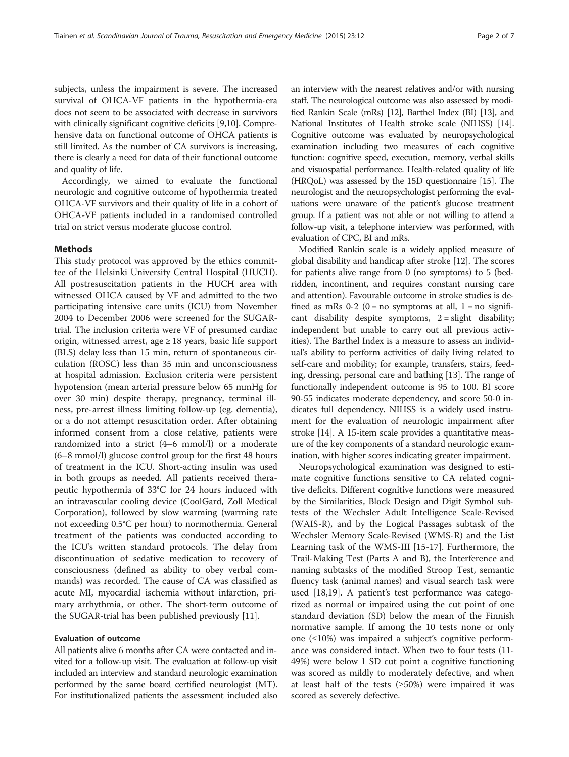subjects, unless the impairment is severe. The increased survival of OHCA-VF patients in the hypothermia-era does not seem to be associated with decrease in survivors with clinically significant cognitive deficits [\[9,10\]](#page-6-0). Comprehensive data on functional outcome of OHCA patients is still limited. As the number of CA survivors is increasing, there is clearly a need for data of their functional outcome and quality of life.

Accordingly, we aimed to evaluate the functional neurologic and cognitive outcome of hypothermia treated OHCA-VF survivors and their quality of life in a cohort of OHCA-VF patients included in a randomised controlled trial on strict versus moderate glucose control.

#### Methods

This study protocol was approved by the ethics committee of the Helsinki University Central Hospital (HUCH). All postresuscitation patients in the HUCH area with witnessed OHCA caused by VF and admitted to the two participating intensive care units (ICU) from November 2004 to December 2006 were screened for the SUGARtrial. The inclusion criteria were VF of presumed cardiac origin, witnessed arrest, age ≥ 18 years, basic life support (BLS) delay less than 15 min, return of spontaneous circulation (ROSC) less than 35 min and unconsciousness at hospital admission. Exclusion criteria were persistent hypotension (mean arterial pressure below 65 mmHg for over 30 min) despite therapy, pregnancy, terminal illness, pre-arrest illness limiting follow-up (eg. dementia), or a do not attempt resuscitation order. After obtaining informed consent from a close relative, patients were randomized into a strict (4–6 mmol/l) or a moderate (6–8 mmol/l) glucose control group for the first 48 hours of treatment in the ICU. Short-acting insulin was used in both groups as needed. All patients received therapeutic hypothermia of 33°C for 24 hours induced with an intravascular cooling device (CoolGard, Zoll Medical Corporation), followed by slow warming (warming rate not exceeding 0.5°C per hour) to normothermia. General treatment of the patients was conducted according to the ICU's written standard protocols. The delay from discontinuation of sedative medication to recovery of consciousness (defined as ability to obey verbal commands) was recorded. The cause of CA was classified as acute MI, myocardial ischemia without infarction, primary arrhythmia, or other. The short-term outcome of the SUGAR-trial has been published previously [[11](#page-6-0)].

#### Evaluation of outcome

All patients alive 6 months after CA were contacted and invited for a follow-up visit. The evaluation at follow-up visit included an interview and standard neurologic examination performed by the same board certified neurologist (MT). For institutionalized patients the assessment included also

an interview with the nearest relatives and/or with nursing staff. The neurological outcome was also assessed by modified Rankin Scale (mRs) [\[12\]](#page-6-0), Barthel Index (BI) [[13](#page-6-0)], and National Institutes of Health stroke scale (NIHSS) [\[14](#page-6-0)]. Cognitive outcome was evaluated by neuropsychological examination including two measures of each cognitive function: cognitive speed, execution, memory, verbal skills and visuospatial performance. Health-related quality of life (HRQoL) was assessed by the 15D questionnaire [\[15\]](#page-6-0). The neurologist and the neuropsychologist performing the evaluations were unaware of the patient's glucose treatment group. If a patient was not able or not willing to attend a follow-up visit, a telephone interview was performed, with evaluation of CPC, BI and mRs.

Modified Rankin scale is a widely applied measure of global disability and handicap after stroke [[12](#page-6-0)]. The scores for patients alive range from 0 (no symptoms) to 5 (bedridden, incontinent, and requires constant nursing care and attention). Favourable outcome in stroke studies is defined as mRs  $0-2$  ( $0 = no$  symptoms at all,  $1 = no$  significant disability despite symptoms,  $2 =$  slight disability; independent but unable to carry out all previous activities). The Barthel Index is a measure to assess an individual's ability to perform activities of daily living related to self-care and mobility; for example, transfers, stairs, feeding, dressing, personal care and bathing [\[13](#page-6-0)]. The range of functionally independent outcome is 95 to 100. BI score 90-55 indicates moderate dependency, and score 50-0 indicates full dependency. NIHSS is a widely used instrument for the evaluation of neurologic impairment after stroke [\[14](#page-6-0)]. A 15-item scale provides a quantitative measure of the key components of a standard neurologic examination, with higher scores indicating greater impairment.

Neuropsychological examination was designed to estimate cognitive functions sensitive to CA related cognitive deficits. Different cognitive functions were measured by the Similarities, Block Design and Digit Symbol subtests of the Wechsler Adult Intelligence Scale-Revised (WAIS-R), and by the Logical Passages subtask of the Wechsler Memory Scale-Revised (WMS-R) and the List Learning task of the WMS-III [\[15-17](#page-6-0)]. Furthermore, the Trail-Making Test (Parts A and B), the Interference and naming subtasks of the modified Stroop Test, semantic fluency task (animal names) and visual search task were used [\[18,19](#page-6-0)]. A patient's test performance was categorized as normal or impaired using the cut point of one standard deviation (SD) below the mean of the Finnish normative sample. If among the 10 tests none or only one (≤10%) was impaired a subject's cognitive performance was considered intact. When two to four tests (11- 49%) were below 1 SD cut point a cognitive functioning was scored as mildly to moderately defective, and when at least half of the tests  $(\geq 50\%)$  were impaired it was scored as severely defective.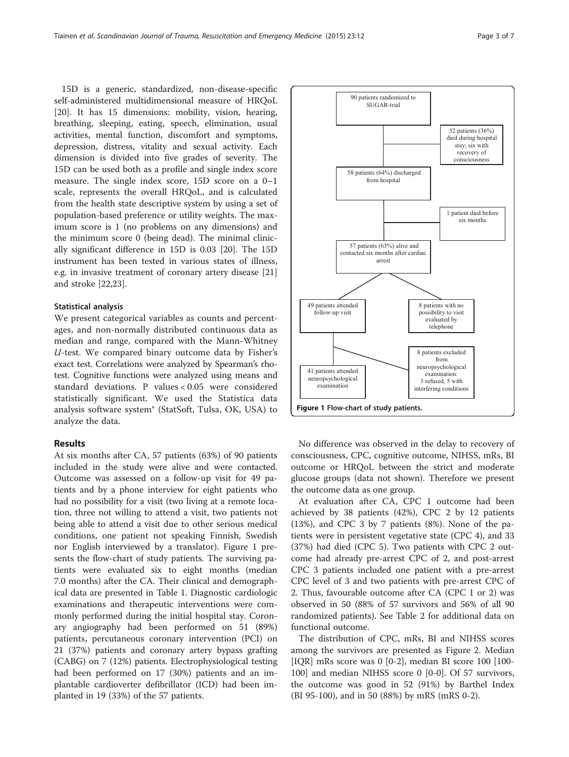15D is a generic, standardized, non-disease-specific self-administered multidimensional measure of HRQoL [[20\]](#page-6-0). It has 15 dimensions: mobility, vision, hearing, breathing, sleeping, eating, speech, elimination, usual activities, mental function, discomfort and symptoms, depression, distress, vitality and sexual activity. Each dimension is divided into five grades of severity. The 15D can be used both as a profile and single index score measure. The single index score, 15D score on a 0–1 scale, represents the overall HRQoL, and is calculated from the health state descriptive system by using a set of population-based preference or utility weights. The maximum score is 1 (no problems on any dimensions) and the minimum score 0 (being dead). The minimal clinically significant difference in 15D is 0.03 [[20\]](#page-6-0). The 15D instrument has been tested in various states of illness, e.g. in invasive treatment of coronary artery disease [[21](#page-6-0)] and stroke [[22,23\]](#page-6-0).

# Statistical analysis

We present categorical variables as counts and percentages, and non-normally distributed continuous data as median and range, compared with the Mann-Whitney U-test. We compared binary outcome data by Fisher's exact test. Correlations were analyzed by Spearman's rhotest. Cognitive functions were analyzed using means and standard deviations. P values < 0.05 were considered statistically significant. We used the Statistica data analysis software system® (StatSoft, Tulsa, OK, USA) to analyze the data.

# Results

At six months after CA, 57 patients (63%) of 90 patients included in the study were alive and were contacted. Outcome was assessed on a follow-up visit for 49 patients and by a phone interview for eight patients who had no possibility for a visit (two living at a remote location, three not willing to attend a visit, two patients not being able to attend a visit due to other serious medical conditions, one patient not speaking Finnish, Swedish nor English interviewed by a translator). Figure 1 presents the flow-chart of study patients. The surviving patients were evaluated six to eight months (median 7.0 months) after the CA. Their clinical and demographical data are presented in Table [1](#page-3-0). Diagnostic cardiologic examinations and therapeutic interventions were commonly performed during the initial hospital stay. Coronary angiography had been performed on 51 (89%) patients, percutaneous coronary intervention (PCI) on 21 (37%) patients and coronary artery bypass grafting (CABG) on 7 (12%) patients. Electrophysiological testing had been performed on 17 (30%) patients and an implantable cardioverter defibrillator (ICD) had been implanted in 19 (33%) of the 57 patients.



No difference was observed in the delay to recovery of consciousness, CPC, cognitive outcome, NIHSS, mRs, BI outcome or HRQoL between the strict and moderate glucose groups (data not shown). Therefore we present the outcome data as one group.

At evaluation after CA, CPC 1 outcome had been achieved by 38 patients (42%), CPC 2 by 12 patients (13%), and CPC 3 by 7 patients (8%). None of the patients were in persistent vegetative state (CPC 4), and 33 (37%) had died (CPC 5). Two patients with CPC 2 outcome had already pre-arrest CPC of 2, and post-arrest CPC 3 patients included one patient with a pre-arrest CPC level of 3 and two patients with pre-arrest CPC of 2. Thus, favourable outcome after CA (CPC 1 or 2) was observed in 50 (88% of 57 survivors and 56% of all 90 randomized patients). See Table [2](#page-3-0) for additional data on functional outcome.

The distribution of CPC, mRs, BI and NIHSS scores among the survivors are presented as Figure [2](#page-4-0). Median [IQR] mRs score was 0 [0-2], median BI score 100 [100- 100] and median NIHSS score 0 [0-0]. Of 57 survivors, the outcome was good in 52 (91%) by Barthel Index (BI 95-100), and in 50 (88%) by mRS (mRS 0-2).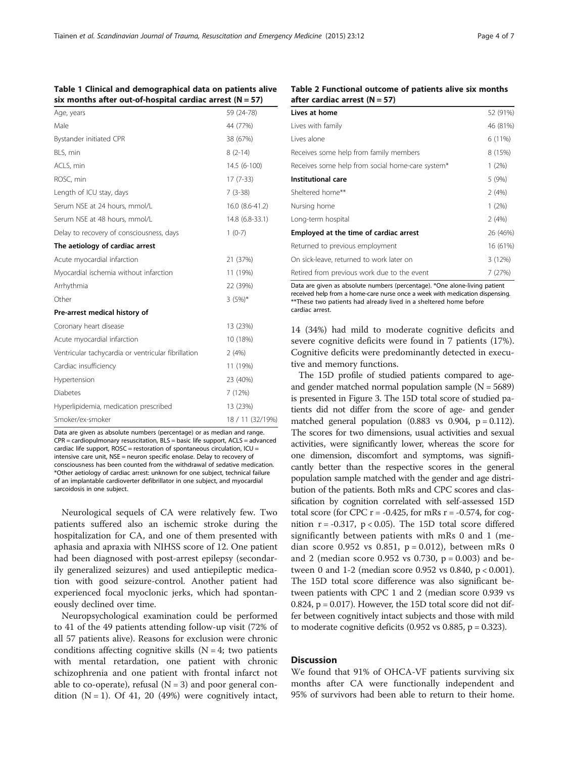### <span id="page-3-0"></span>Table 1 Clinical and demographical data on patients alive six months after out-of-hospital cardiac arrest  $(N = 57)$

| Age, years                                          | 59 (24-78)       |
|-----------------------------------------------------|------------------|
| Male                                                | 44 (77%)         |
| Bystander initiated CPR                             | 38 (67%)         |
| BLS, min                                            | $8(2-14)$        |
| ACLS, min                                           | 14.5 (6-100)     |
| ROSC, min                                           | $17(7-33)$       |
| Length of ICU stay, days                            | $7(3-38)$        |
| Serum NSE at 24 hours, mmol/L                       | 16.0 (8.6-41.2)  |
| Serum NSE at 48 hours, mmol/L                       | 14.8 (6.8-33.1)  |
| Delay to recovery of consciousness, days            | $1(0-7)$         |
| The aetiology of cardiac arrest                     |                  |
| Acute myocardial infarction                         | 21 (37%)         |
| Myocardial ischemia without infarction              | 11 (19%)         |
| Arrhythmia                                          | 22 (39%)         |
| Other                                               | $3(5%)*$         |
| Pre-arrest medical history of                       |                  |
| Coronary heart disease                              | 13 (23%)         |
| Acute myocardial infarction                         | 10 (18%)         |
| Ventricular tachycardia or ventricular fibrillation | 2(4%)            |
| Cardiac insufficiency                               | 11 (19%)         |
| Hypertension                                        | 23 (40%)         |
| <b>Diabetes</b>                                     | 7 (12%)          |
| Hyperlipidemia, medication prescribed               | 13 (23%)         |
| Smoker/ex-smoker                                    | 18 / 11 (32/19%) |

Data are given as absolute numbers (percentage) or as median and range. CPR = cardiopulmonary resuscitation, BLS = basic life support, ACLS = advanced cardiac life support,  $ROSC = restoration$  of spontaneous circulation,  $ICU =$ intensive care unit, NSE = neuron specific enolase. Delay to recovery of consciousness has been counted from the withdrawal of sedative medication. \*Other aetiology of cardiac arrest: unknown for one subject, technical failure of an implantable cardioverter defibrillator in one subject, and myocardial sarcoidosis in one subject.

Neurological sequels of CA were relatively few. Two patients suffered also an ischemic stroke during the hospitalization for CA, and one of them presented with aphasia and apraxia with NIHSS score of 12. One patient had been diagnosed with post-arrest epilepsy (secondarily generalized seizures) and used antiepileptic medication with good seizure-control. Another patient had experienced focal myoclonic jerks, which had spontaneously declined over time.

Neuropsychological examination could be performed to 41 of the 49 patients attending follow-up visit (72% of all 57 patients alive). Reasons for exclusion were chronic conditions affecting cognitive skills  $(N = 4;)$  two patients with mental retardation, one patient with chronic schizophrenia and one patient with frontal infarct not able to co-operate), refusal  $(N = 3)$  and poor general condition  $(N = 1)$ . Of 41, 20 (49%) were cognitively intact,

Table 2 Functional outcome of patients alive six months after cardiac arrest  $(N = 57)$ 

| Lives at home                                    | 52 (91%) |
|--------------------------------------------------|----------|
| Lives with family                                | 46 (81%) |
| Lives alone                                      | 6 (11%)  |
| Receives some help from family members           | 8 (15%)  |
| Receives some help from social home-care system* | $1(2\%)$ |
| Institutional care                               | 5(9%)    |
| Sheltered home**                                 | 2(4%)    |
| Nursing home                                     | $1(2\%)$ |
| Long-term hospital                               | 2(4%)    |
| Employed at the time of cardiac arrest           | 26 (46%) |
| Returned to previous employment                  | 16 (61%) |
| On sick-leave, returned to work later on         | 3(12%)   |
| Retired from previous work due to the event      | 7 (27%)  |

Data are given as absolute numbers (percentage). \*One alone-living patient received help from a home-care nurse once a week with medication dispensing. \*\*These two patients had already lived in a sheltered home before cardiac arrest.

14 (34%) had mild to moderate cognitive deficits and severe cognitive deficits were found in 7 patients (17%). Cognitive deficits were predominantly detected in executive and memory functions.

The 15D profile of studied patients compared to ageand gender matched normal population sample  $(N = 5689)$ is presented in Figure [3](#page-4-0). The 15D total score of studied patients did not differ from the score of age- and gender matched general population  $(0.883 \text{ vs } 0.904, \text{ p} = 0.112)$ . The scores for two dimensions, usual activities and sexual activities, were significantly lower, whereas the score for one dimension, discomfort and symptoms, was significantly better than the respective scores in the general population sample matched with the gender and age distribution of the patients. Both mRs and CPC scores and classification by cognition correlated with self-assessed 15D total score (for CPC  $r = -0.425$ , for mRs  $r = -0.574$ , for cognition  $r = -0.317$ ,  $p < 0.05$ ). The 15D total score differed significantly between patients with mRs 0 and 1 (median score 0.952 vs 0.851,  $p = 0.012$ ), between mRs 0 and 2 (median score 0.952 vs 0.730,  $p = 0.003$ ) and between 0 and 1-2 (median score 0.952 vs 0.840, p < 0.001). The 15D total score difference was also significant between patients with CPC 1 and 2 (median score 0.939 vs 0.824, p = 0.017). However, the 15D total score did not differ between cognitively intact subjects and those with mild to moderate cognitive deficits  $(0.952 \text{ vs } 0.885, p = 0.323)$ .

## **Discussion**

We found that 91% of OHCA-VF patients surviving six months after CA were functionally independent and 95% of survivors had been able to return to their home.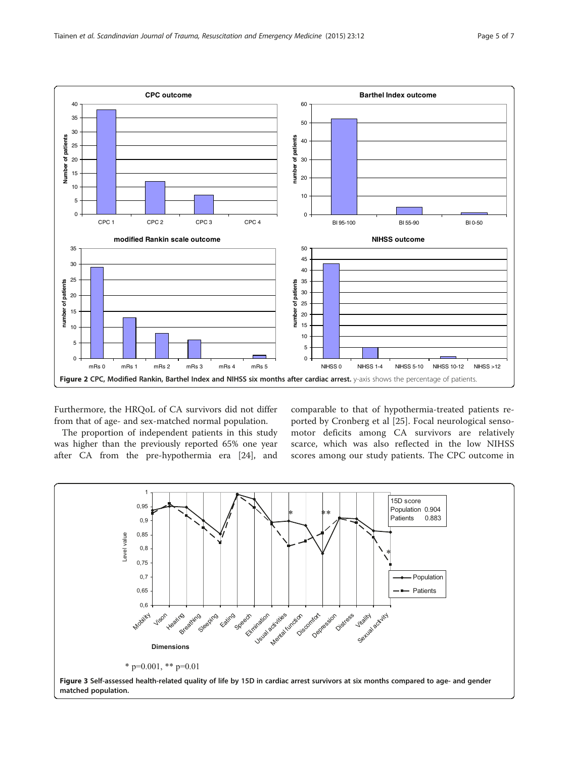<span id="page-4-0"></span>

Furthermore, the HRQoL of CA survivors did not differ from that of age- and sex-matched normal population.

The proportion of independent patients in this study was higher than the previously reported 65% one year after CA from the pre-hypothermia era [[24](#page-6-0)], and comparable to that of hypothermia-treated patients reported by Cronberg et al [[25](#page-6-0)]. Focal neurological sensomotor deficits among CA survivors are relatively scarce, which was also reflected in the low NIHSS scores among our study patients. The CPC outcome in

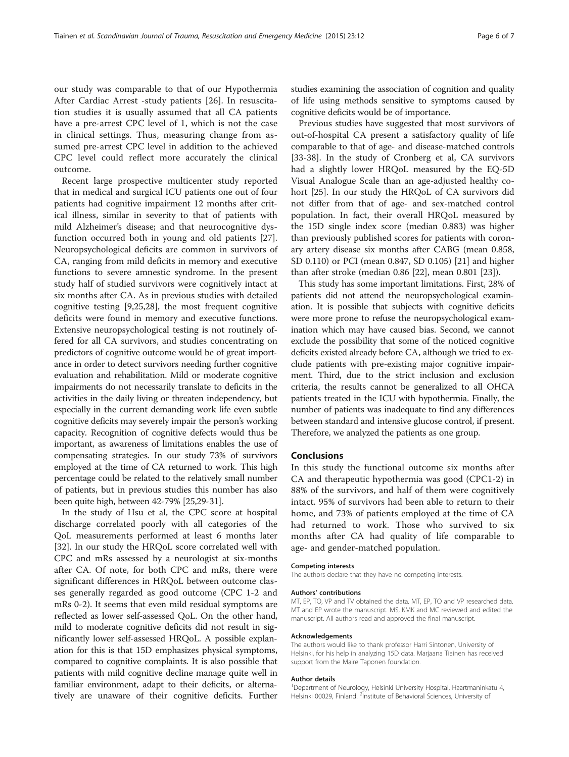our study was comparable to that of our Hypothermia After Cardiac Arrest -study patients [\[26](#page-6-0)]. In resuscitation studies it is usually assumed that all CA patients have a pre-arrest CPC level of 1, which is not the case in clinical settings. Thus, measuring change from assumed pre-arrest CPC level in addition to the achieved CPC level could reflect more accurately the clinical outcome.

Recent large prospective multicenter study reported that in medical and surgical ICU patients one out of four patients had cognitive impairment 12 months after critical illness, similar in severity to that of patients with mild Alzheimer's disease; and that neurocognitive dysfunction occurred both in young and old patients [\[27](#page-6-0)]. Neuropsychological deficits are common in survivors of CA, ranging from mild deficits in memory and executive functions to severe amnestic syndrome. In the present study half of studied survivors were cognitively intact at six months after CA. As in previous studies with detailed cognitive testing [\[9,25,28](#page-6-0)], the most frequent cognitive deficits were found in memory and executive functions. Extensive neuropsychological testing is not routinely offered for all CA survivors, and studies concentrating on predictors of cognitive outcome would be of great importance in order to detect survivors needing further cognitive evaluation and rehabilitation. Mild or moderate cognitive impairments do not necessarily translate to deficits in the activities in the daily living or threaten independency, but especially in the current demanding work life even subtle cognitive deficits may severely impair the person's working capacity. Recognition of cognitive defects would thus be important, as awareness of limitations enables the use of compensating strategies. In our study 73% of survivors employed at the time of CA returned to work. This high percentage could be related to the relatively small number of patients, but in previous studies this number has also been quite high, between 42-79% [\[25,29-31\]](#page-6-0).

In the study of Hsu et al, the CPC score at hospital discharge correlated poorly with all categories of the QoL measurements performed at least 6 months later [[32\]](#page-6-0). In our study the HRQoL score correlated well with CPC and mRs assessed by a neurologist at six-months after CA. Of note, for both CPC and mRs, there were significant differences in HRQoL between outcome classes generally regarded as good outcome (CPC 1-2 and mRs 0-2). It seems that even mild residual symptoms are reflected as lower self-assessed QoL. On the other hand, mild to moderate cognitive deficits did not result in significantly lower self-assessed HRQoL. A possible explanation for this is that 15D emphasizes physical symptoms, compared to cognitive complaints. It is also possible that patients with mild cognitive decline manage quite well in familiar environment, adapt to their deficits, or alternatively are unaware of their cognitive deficits. Further

studies examining the association of cognition and quality of life using methods sensitive to symptoms caused by cognitive deficits would be of importance.

Previous studies have suggested that most survivors of out-of-hospital CA present a satisfactory quality of life comparable to that of age- and disease-matched controls [[33-38](#page-6-0)]. In the study of Cronberg et al, CA survivors had a slightly lower HRQoL measured by the EQ-5D Visual Analogue Scale than an age-adjusted healthy cohort [[25\]](#page-6-0). In our study the HRQoL of CA survivors did not differ from that of age- and sex-matched control population. In fact, their overall HRQoL measured by the 15D single index score (median 0.883) was higher than previously published scores for patients with coronary artery disease six months after CABG (mean 0.858, SD 0.110) or PCI (mean 0.847, SD 0.105) [[21\]](#page-6-0) and higher than after stroke (median 0.86 [[22](#page-6-0)], mean 0.801 [[23\]](#page-6-0)).

This study has some important limitations. First, 28% of patients did not attend the neuropsychological examination. It is possible that subjects with cognitive deficits were more prone to refuse the neuropsychological examination which may have caused bias. Second, we cannot exclude the possibility that some of the noticed cognitive deficits existed already before CA, although we tried to exclude patients with pre-existing major cognitive impairment. Third, due to the strict inclusion and exclusion criteria, the results cannot be generalized to all OHCA patients treated in the ICU with hypothermia. Finally, the number of patients was inadequate to find any differences between standard and intensive glucose control, if present. Therefore, we analyzed the patients as one group.

# Conclusions

In this study the functional outcome six months after CA and therapeutic hypothermia was good (CPC1-2) in 88% of the survivors, and half of them were cognitively intact. 95% of survivors had been able to return to their home, and 73% of patients employed at the time of CA had returned to work. Those who survived to six months after CA had quality of life comparable to age- and gender-matched population.

#### Competing interests

The authors declare that they have no competing interests.

#### Authors' contributions

MT, EP, TO, VP and TV obtained the data. MT, EP, TO and VP researched data. MT and EP wrote the manuscript. MS, KMK and MC reviewed and edited the manuscript. All authors read and approved the final manuscript.

#### Acknowledgements

The authors would like to thank professor Harri Sintonen, University of Helsinki, for his help in analyzing 15D data. Marjaana Tiainen has received support from the Maire Taponen foundation.

#### Author details

<sup>1</sup> Department of Neurology, Helsinki University Hospital, Haartmaninkatu 4 Helsinki 00029, Finland. <sup>2</sup>Institute of Behavioral Sciences, University of